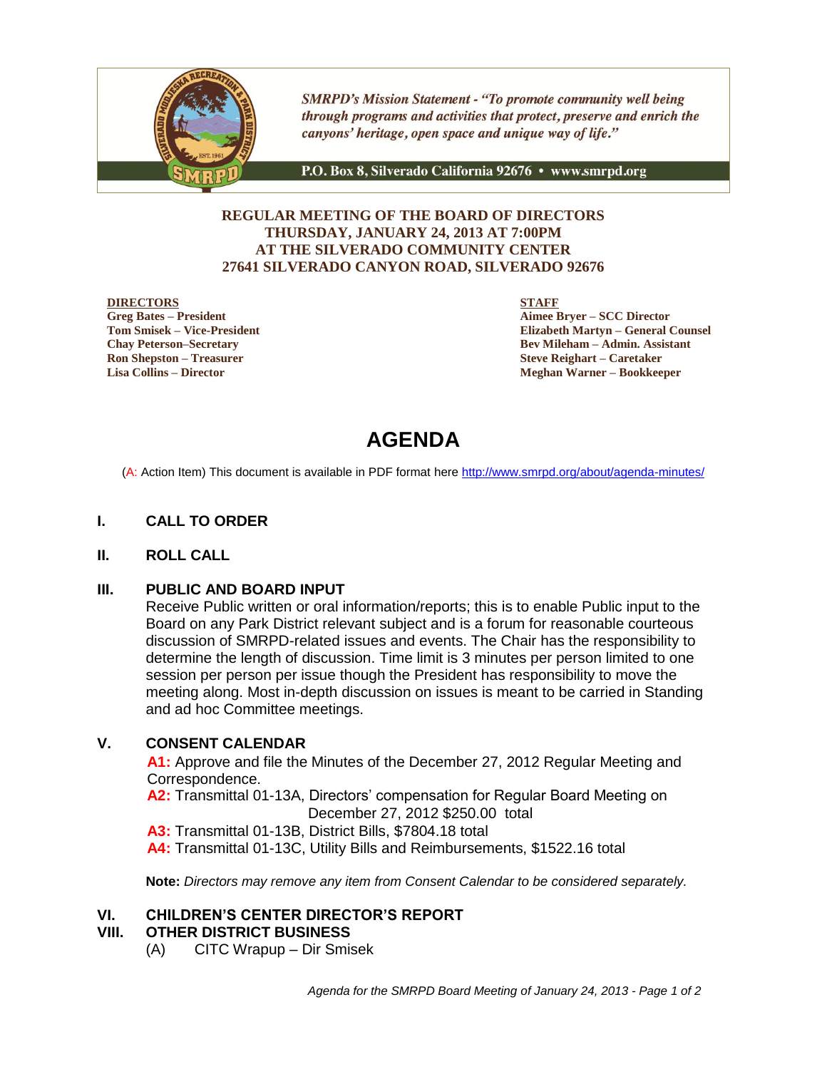

**SMRPD's Mission Statement - "To promote community well being** through programs and activities that protect, preserve and enrich the canyons' heritage, open space and unique way of life."

P.O. Box 8, Silverado California 92676 · www.smrpd.org

## **REGULAR MEETING OF THE BOARD OF DIRECTORS THURSDAY, JANUARY 24, 2013 AT 7:00PM AT THE SILVERADO COMMUNITY CENTER 27641 SILVERADO CANYON ROAD, SILVERADO 92676**

#### **DIRECTORS**

**Greg Bates – President Tom Smisek – Vice-President Chay Peterson–Secretary Ron Shepston – Treasurer Lisa Collins – Director**

**STAFF**

**Aimee Bryer – SCC Director Elizabeth Martyn – General Counsel Bev Mileham – Admin. Assistant Steve Reighart – Caretaker Meghan Warner – Bookkeeper**

# **AGENDA**

(A: Action Item) This document is available in PDF format here <http://www.smrpd.org/>about/agenda-minutes/

## **I. CALL TO ORDER**

## **II. ROLL CALL**

## **III. PUBLIC AND BOARD INPUT**

Receive Public written or oral information/reports; this is to enable Public input to the Board on any Park District relevant subject and is a forum for reasonable courteous discussion of SMRPD-related issues and events. The Chair has the responsibility to determine the length of discussion. Time limit is 3 minutes per person limited to one session per person per issue though the President has responsibility to move the meeting along. Most in-depth discussion on issues is meant to be carried in Standing and ad hoc Committee meetings.

## **V. CONSENT CALENDAR**

**A1:** Approve and file the Minutes of the December 27, 2012 Regular Meeting and Correspondence.

**A2:** Transmittal 01-13A, Directors' compensation for Regular Board Meeting on December 27, 2012 \$250.00 total

**A3:** Transmittal 01-13B, District Bills, \$7804.18 total

**A4:** Transmittal 01-13C, Utility Bills and Reimbursements, \$1522.16 total

**Note:** *Directors may remove any item from Consent Calendar to be considered separately.*

## **VI. CHILDREN'S CENTER DIRECTOR'S REPORT**

#### **VIII. OTHER DISTRICT BUSINESS**

(A) CITC Wrapup – Dir Smisek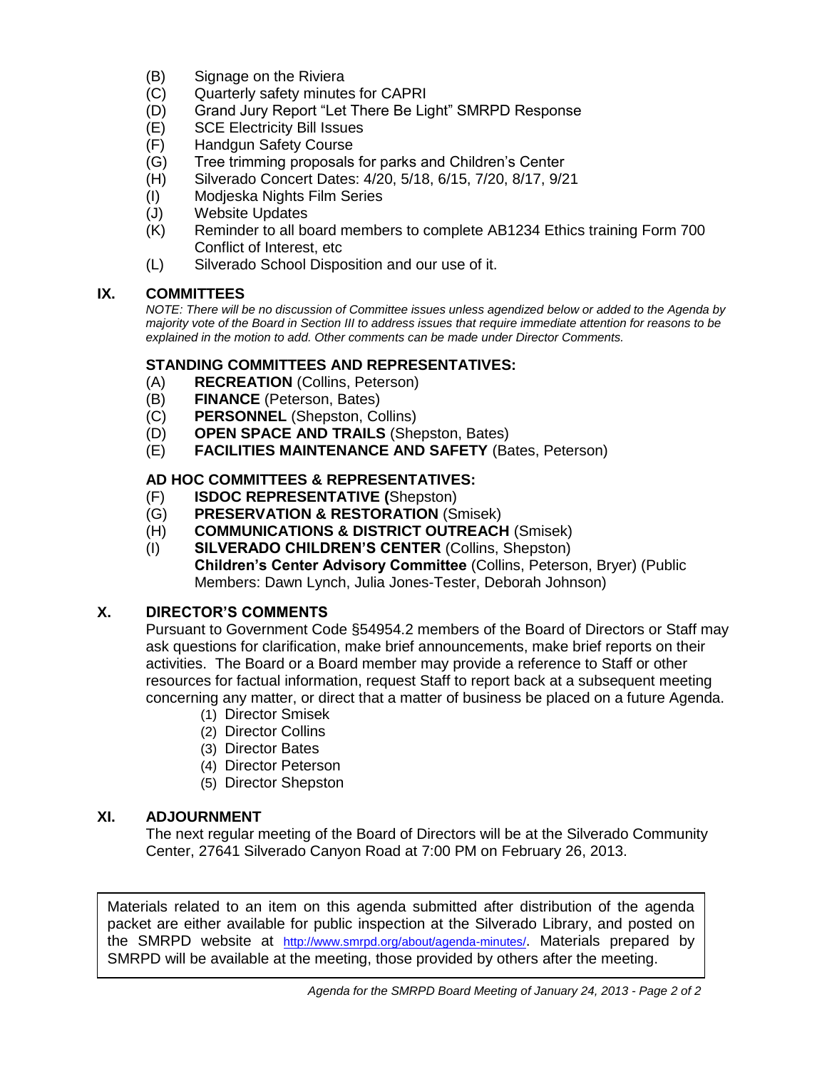- (B) Signage on the Riviera
- (C) Quarterly safety minutes for CAPRI
- (D) Grand Jury Report "Let There Be Light" SMRPD Response<br>(E) SCE Electricity Bill Issues
- **SCE Electricity Bill Issues**
- (F) Handgun Safety Course
- (G) Tree trimming proposals for parks and Children's Center
- (H) Silverado Concert Dates: 4/20, 5/18, 6/15, 7/20, 8/17, 9/21
- (I) Modjeska Nights Film Series
- (J) Website Updates
- (K) Reminder to all board members to complete AB1234 Ethics training Form 700 Conflict of Interest, etc
- (L) Silverado School Disposition and our use of it.

## **IX. COMMITTEES**

*NOTE: There will be no discussion of Committee issues unless agendized below or added to the Agenda by majority vote of the Board in Section III to address issues that require immediate attention for reasons to be explained in the motion to add. Other comments can be made under Director Comments.*

## **STANDING COMMITTEES AND REPRESENTATIVES:**

- (A) **RECREATION** (Collins, Peterson)
- (B) **FINANCE** (Peterson, Bates)
- 
- (C) **PERSONNEL** (Shepston, Collins) **OPEN SPACE AND TRAILS (Shepston, Bates)**
- (E) **FACILITIES MAINTENANCE AND SAFETY** (Bates, Peterson)

## **AD HOC COMMITTEES & REPRESENTATIVES:**

- (F) **ISDOC REPRESENTATIVE (**Shepston)
- (G) **PRESERVATION & RESTORATION** (Smisek)
- (H) **COMMUNICATIONS & DISTRICT OUTREACH** (Smisek)
- (I) **SILVERADO CHILDREN'S CENTER** (Collins, Shepston) **Children's Center Advisory Committee** (Collins, Peterson, Bryer) (Public Members: Dawn Lynch, Julia Jones-Tester, Deborah Johnson)

## **X. DIRECTOR'S COMMENTS**

Pursuant to Government Code §54954.2 members of the Board of Directors or Staff may ask questions for clarification, make brief announcements, make brief reports on their activities. The Board or a Board member may provide a reference to Staff or other resources for factual information, request Staff to report back at a subsequent meeting concerning any matter, or direct that a matter of business be placed on a future Agenda.

- (1) Director Smisek
- (2) Director Collins
- (3) Director Bates
- (4) Director Peterson
- (5) Director Shepston

## **XI. ADJOURNMENT**

The next regular meeting of the Board of Directors will be at the Silverado Community Center, 27641 Silverado Canyon Road at 7:00 PM on February 26, 2013.

Materials related to an item on this agenda submitted after distribution of the agenda packet are either available for public inspection at the Silverado Library, and posted on the SMRPD website at <http://www.smrpd.org/>about/agenda-minutes/. Materials prepared by SMRPD will be available at the meeting, those provided by others after the meeting.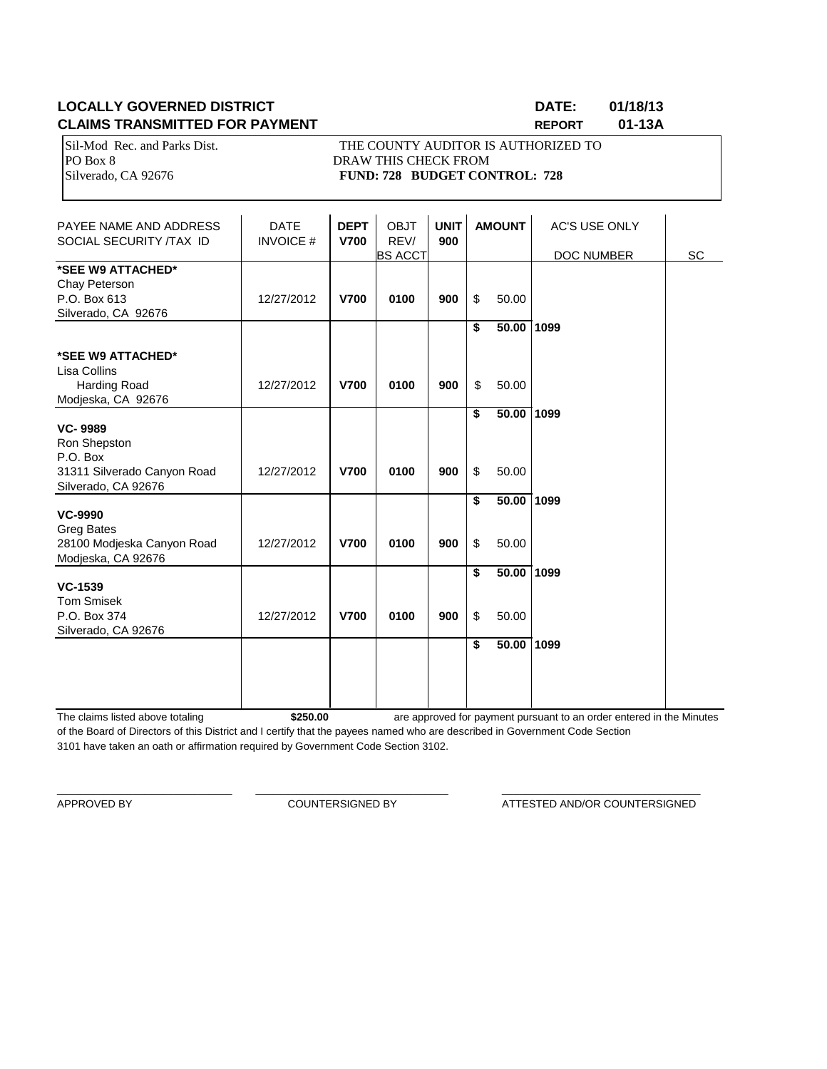## **LOCALLY GOVERNED DISTRICT DATE: 01/18/13 CLAIMS TRANSMITTED FOR PAYMENT REPORT 01-13A**

Sil-Mod Rec. and Parks Dist. THE COUNTY AUDITOR IS AUTHORIZED TO PO Box 8 DRAW THIS CHECK FROM Silverado, CA 92676 **FUND: 728 BUDGET CONTROL: 728** 

| PAYEE NAME AND ADDRESS<br>SOCIAL SECURITY /TAX ID                                               | <b>DATE</b><br><b>INVOICE#</b> | <b>DEPT</b><br><b>V700</b> | <b>OBJT</b><br>REV/<br><b>BS ACCT</b> | <b>UNIT</b><br>900 |          | <b>AMOUNT</b>       | <b>AC'S USE ONLY</b><br>DOC NUMBER | SC |
|-------------------------------------------------------------------------------------------------|--------------------------------|----------------------------|---------------------------------------|--------------------|----------|---------------------|------------------------------------|----|
| *SEE W9 ATTACHED*<br>Chay Peterson<br>P.O. Box 613<br>Silverado, CA 92676                       | 12/27/2012                     | <b>V700</b>                | 0100                                  | 900                | \$       | 50.00               |                                    |    |
| *SEE W9 ATTACHED*<br>Lisa Collins<br>Harding Road                                               | 12/27/2012                     | <b>V700</b>                | 0100                                  | 900                | \$<br>\$ | 50.00 1099<br>50.00 |                                    |    |
| Modjeska, CA 92676<br><b>VC-9989</b><br>Ron Shepston<br>P.O. Box<br>31311 Silverado Canyon Road | 12/27/2012                     | <b>V700</b>                | 0100                                  | 900                | \$<br>\$ | 50.00<br>50.00      | 1099                               |    |
| Silverado, CA 92676<br><b>VC-9990</b><br><b>Greg Bates</b>                                      |                                |                            |                                       |                    | \$       | 50.00               | 1099                               |    |
| 28100 Modjeska Canyon Road<br>Modjeska, CA 92676                                                | 12/27/2012                     | <b>V700</b>                | 0100                                  | 900                | \$       | 50.00               |                                    |    |
| <b>VC-1539</b><br><b>Tom Smisek</b><br>P.O. Box 374<br>Silverado, CA 92676                      | 12/27/2012                     | <b>V700</b>                | 0100                                  | 900                | \$<br>\$ | 50.00 1099<br>50.00 |                                    |    |
|                                                                                                 |                                |                            |                                       |                    | \$       | 50.00               | 1099                               |    |

The claims listed above totaling **\$250.00** of the Board of Directors of this District and I certify that the payees named who are described in Government Code Section 3101 have taken an oath or affirmation required by Government Code Section 3102. are approved for payment pursuant to an order entered in the Minutes

\_\_\_\_\_\_\_\_\_\_\_\_\_\_\_\_\_\_\_\_\_\_\_\_\_\_\_\_\_\_ \_\_\_\_\_\_\_\_\_\_\_\_\_\_\_\_\_\_\_\_\_\_\_\_\_\_\_\_\_\_\_\_\_ \_\_\_\_\_\_\_\_\_\_\_\_\_\_\_\_\_\_\_\_\_\_\_\_\_\_\_\_\_\_\_\_\_\_

APPROVED BY **COUNTERSIGNED BY** ATTESTED AND/OR COUNTERSIGNED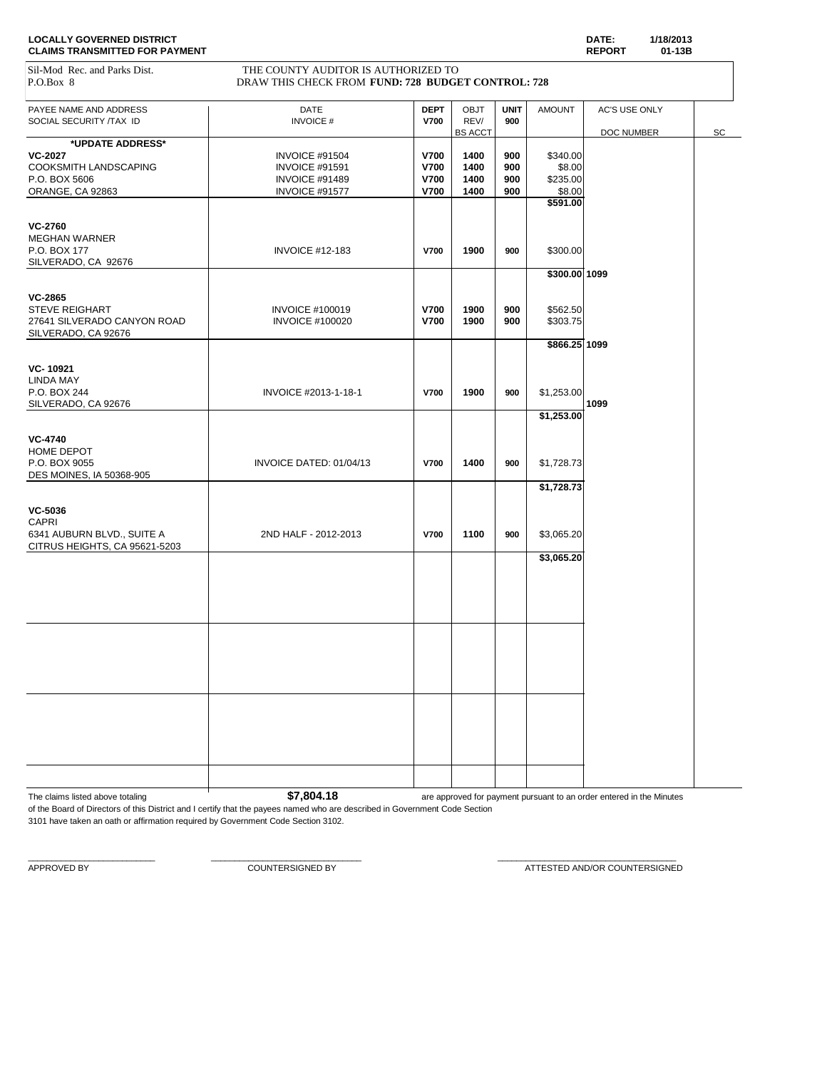| <b>LOCALLY GOVERNED DISTRICT</b>      | DATE:         | 1/18/2013 |
|---------------------------------------|---------------|-----------|
| <b>CLAIMS TRANSMITTED FOR PAYMENT</b> | <b>REPORT</b> | 01-13B    |

#### Sil-Mod Rec. and Parks Dist. THE COUNTY AUDITOR IS AUTHORIZED TO P.O.Box 8 DRAW THIS CHECK FROM **FUND: 728 BUDGET CONTROL: 728**

| PAYEE NAME AND ADDRESS        | DATE                    | <b>DEPT</b> | <b>OBJT</b>    | <b>UNIT</b> | <b>AMOUNT</b> | AC'S USE ONLY |    |
|-------------------------------|-------------------------|-------------|----------------|-------------|---------------|---------------|----|
| SOCIAL SECURITY /TAX ID       | <b>INVOICE#</b>         | <b>V700</b> | REV/           | 900         |               |               |    |
|                               |                         |             | <b>BS ACCT</b> |             |               | DOC NUMBER    | SC |
| *UPDATE ADDRESS*              |                         |             |                |             |               |               |    |
| <b>VC-2027</b>                | INVOICE #91504          | <b>V700</b> | 1400           | 900         | \$340.00      |               |    |
| COOKSMITH LANDSCAPING         | <b>INVOICE #91591</b>   | V700        | 1400           | 900         | \$8.00        |               |    |
|                               |                         |             |                |             |               |               |    |
| P.O. BOX 5606                 | INVOICE #91489          | V700        | 1400           | 900         | \$235.00      |               |    |
| ORANGE, CA 92863              | INVOICE #91577          | V700        | 1400           | 900         | \$8.00        |               |    |
|                               |                         |             |                |             | \$591.00      |               |    |
|                               |                         |             |                |             |               |               |    |
| <b>VC-2760</b>                |                         |             |                |             |               |               |    |
| <b>MEGHAN WARNER</b>          |                         |             |                |             |               |               |    |
| P.O. BOX 177                  | <b>INVOICE #12-183</b>  | V700        | 1900           | 900         | \$300.00      |               |    |
| SILVERADO, CA 92676           |                         |             |                |             |               |               |    |
|                               |                         |             |                |             | \$300.00 1099 |               |    |
|                               |                         |             |                |             |               |               |    |
| <b>VC-2865</b>                |                         |             |                |             |               |               |    |
|                               |                         | V700        |                |             |               |               |    |
| STEVE REIGHART                | <b>INVOICE #100019</b>  |             | 1900           | 900         | \$562.50      |               |    |
| 27641 SILVERADO CANYON ROAD   | <b>INVOICE #100020</b>  | V700        | 1900           | 900         | \$303.75      |               |    |
| SILVERADO, CA 92676           |                         |             |                |             |               |               |    |
|                               |                         |             |                |             | \$866.25 1099 |               |    |
|                               |                         |             |                |             |               |               |    |
| VC-10921                      |                         |             |                |             |               |               |    |
| <b>LINDA MAY</b>              |                         |             |                |             |               |               |    |
| P.O. BOX 244                  | INVOICE #2013-1-18-1    | <b>V700</b> | 1900           | 900         | \$1,253.00    |               |    |
| SILVERADO, CA 92676           |                         |             |                |             |               | 1099          |    |
|                               |                         |             |                |             | \$1,253.00    |               |    |
|                               |                         |             |                |             |               |               |    |
|                               |                         |             |                |             |               |               |    |
| <b>VC-4740</b>                |                         |             |                |             |               |               |    |
| HOME DEPOT                    |                         |             |                |             |               |               |    |
| P.O. BOX 9055                 | INVOICE DATED: 01/04/13 | <b>V700</b> | 1400           | 900         | \$1,728.73    |               |    |
| DES MOINES, IA 50368-905      |                         |             |                |             |               |               |    |
|                               |                         |             |                |             | \$1,728.73    |               |    |
|                               |                         |             |                |             |               |               |    |
| VC-5036                       |                         |             |                |             |               |               |    |
| CAPRI                         |                         |             |                |             |               |               |    |
| 6341 AUBURN BLVD., SUITE A    | 2ND HALF - 2012-2013    | V700        | 1100           | 900         | \$3,065.20    |               |    |
| CITRUS HEIGHTS, CA 95621-5203 |                         |             |                |             |               |               |    |
|                               |                         |             |                |             |               |               |    |
|                               |                         |             |                |             | \$3,065.20    |               |    |
|                               |                         |             |                |             |               |               |    |
|                               |                         |             |                |             |               |               |    |
|                               |                         |             |                |             |               |               |    |
|                               |                         |             |                |             |               |               |    |
|                               |                         |             |                |             |               |               |    |
|                               |                         |             |                |             |               |               |    |
|                               |                         |             |                |             |               |               |    |
|                               |                         |             |                |             |               |               |    |
|                               |                         |             |                |             |               |               |    |
|                               |                         |             |                |             |               |               |    |
|                               |                         |             |                |             |               |               |    |
|                               |                         |             |                |             |               |               |    |
|                               |                         |             |                |             |               |               |    |
|                               |                         |             |                |             |               |               |    |
|                               |                         |             |                |             |               |               |    |
|                               |                         |             |                |             |               |               |    |
|                               |                         |             |                |             |               |               |    |
|                               |                         |             |                |             |               |               |    |
|                               |                         |             |                |             |               |               |    |
|                               |                         |             |                |             |               |               |    |
|                               |                         |             |                |             |               |               |    |

The claims listed above totaling **1 \$7,804.18** are approved for payment pursuant to an order entered in the Minutes

of the Board of Directors of this District and I certify that the payees named who are described in Government Code Section 3101 have taken an oath or affirmation required by Government Code Section 3102.

 $\_$  , and the set of the set of the set of the set of the set of the set of the set of the set of the set of the set of the set of the set of the set of the set of the set of the set of the set of the set of the set of th

APPROVED BY **A PEROVED BY** COUNTERSIGNED BY **COUNTERSIGNED BY** ATTESTED AND/OR COUNTERSIGNED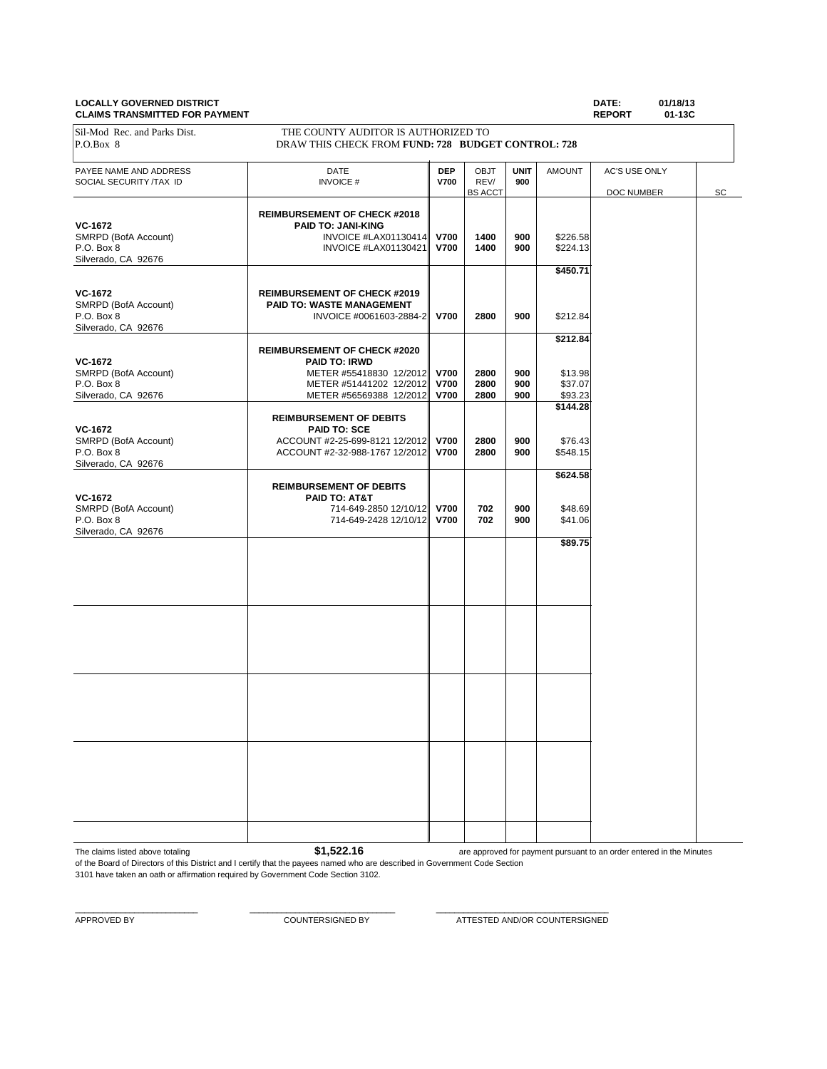#### **LOCALLY GOVERNED DISTRICT DATE: 01/18/13 CLAIMS TRANSMITTED FOR PAYMENT**

|                                                                             |                                                                                                                                              |                                           |                                       |                    |                                           | $11 - 1$<br>.                      |    |
|-----------------------------------------------------------------------------|----------------------------------------------------------------------------------------------------------------------------------------------|-------------------------------------------|---------------------------------------|--------------------|-------------------------------------------|------------------------------------|----|
| Sil-Mod Rec. and Parks Dist.<br>P.O.Box 8                                   | THE COUNTY AUDITOR IS AUTHORIZED TO<br>DRAW THIS CHECK FROM FUND: 728 BUDGET CONTROL: 728                                                    |                                           |                                       |                    |                                           |                                    |    |
| PAYEE NAME AND ADDRESS<br>SOCIAL SECURITY /TAX ID                           | DATE<br><b>INVOICE#</b>                                                                                                                      | <b>DEP</b><br><b>V700</b>                 | <b>OBJT</b><br>REV/<br><b>BS ACCT</b> | <b>UNIT</b><br>900 | <b>AMOUNT</b>                             | AC'S USE ONLY<br><b>DOC NUMBER</b> | SC |
| VC-1672<br>SMRPD (BofA Account)<br>P.O. Box 8<br>Silverado, CA 92676        | <b>REIMBURSEMENT OF CHECK #2018</b><br>PAID TO: JANI-KING<br>INVOICE #LAX01130414<br>INVOICE #LAX01130421                                    | <b>V700</b><br><b>V700</b>                | 1400<br>1400                          | 900<br>900         | \$226.58<br>\$224.13                      |                                    |    |
| <b>VC-1672</b><br>SMRPD (BofA Account)<br>P.O. Box 8<br>Silverado, CA 92676 | <b>REIMBURSEMENT OF CHECK #2019</b><br>PAID TO: WASTE MANAGEMENT<br>INVOICE #0061603-2884-2                                                  | <b>V700</b>                               | 2800                                  | 900                | \$450.71<br>\$212.84                      |                                    |    |
| VC-1672<br>SMRPD (BofA Account)<br>P.O. Box 8<br>Silverado, CA 92676        | <b>REIMBURSEMENT OF CHECK #2020</b><br><b>PAID TO: IRWD</b><br>METER #55418830 12/2012<br>METER #51441202 12/2012<br>METER #56569388 12/2012 | <b>V700</b><br><b>V700</b><br><b>V700</b> | 2800<br>2800<br>2800                  | 900<br>900<br>900  | \$212.84<br>\$13.98<br>\$37.07<br>\$93.23 |                                    |    |
| <b>VC-1672</b><br>SMRPD (BofA Account)<br>P.O. Box 8<br>Silverado, CA 92676 | <b>REIMBURSEMENT OF DEBITS</b><br><b>PAID TO: SCE</b><br>ACCOUNT #2-25-699-8121 12/2012 V700<br>ACCOUNT #2-32-988-1767 12/2012               | <b>V700</b>                               | 2800<br>2800                          | 900<br>900         | \$144.28<br>\$76.43<br>\$548.15           |                                    |    |
| <b>VC-1672</b><br>SMRPD (BofA Account)<br>P.O. Box 8<br>Silverado, CA 92676 | <b>REIMBURSEMENT OF DEBITS</b><br>PAID TO: AT&T<br>714-649-2850 12/10/12 V700<br>714-649-2428 12/10/12 V700                                  |                                           | 702<br>702                            | 900<br>900         | \$624.58<br>\$48.69<br>\$41.06            |                                    |    |
|                                                                             |                                                                                                                                              |                                           |                                       |                    | \$89.75                                   |                                    |    |
|                                                                             |                                                                                                                                              |                                           |                                       |                    |                                           |                                    |    |
|                                                                             |                                                                                                                                              |                                           |                                       |                    |                                           |                                    |    |
|                                                                             |                                                                                                                                              |                                           |                                       |                    |                                           |                                    |    |
|                                                                             |                                                                                                                                              |                                           |                                       |                    |                                           |                                    |    |

The claims listed above totaling **\$1,522.16** 

are approved for payment pursuant to an order entered in the Minutes

of the Board of Directors of this District and I certify that the payees named who are described in Government Code Section 3101 have taken an oath or affirmation required by Government Code Section 3102.

 $\_$  , and the set of the set of the set of the set of the set of the set of the set of the set of the set of the set of the set of the set of the set of the set of the set of the set of the set of the set of the set of th

APPROVED BY COUNTERSIGNED BY COUNTERSIGNED BY ATTESTED AND/OR COUNTERSIGNED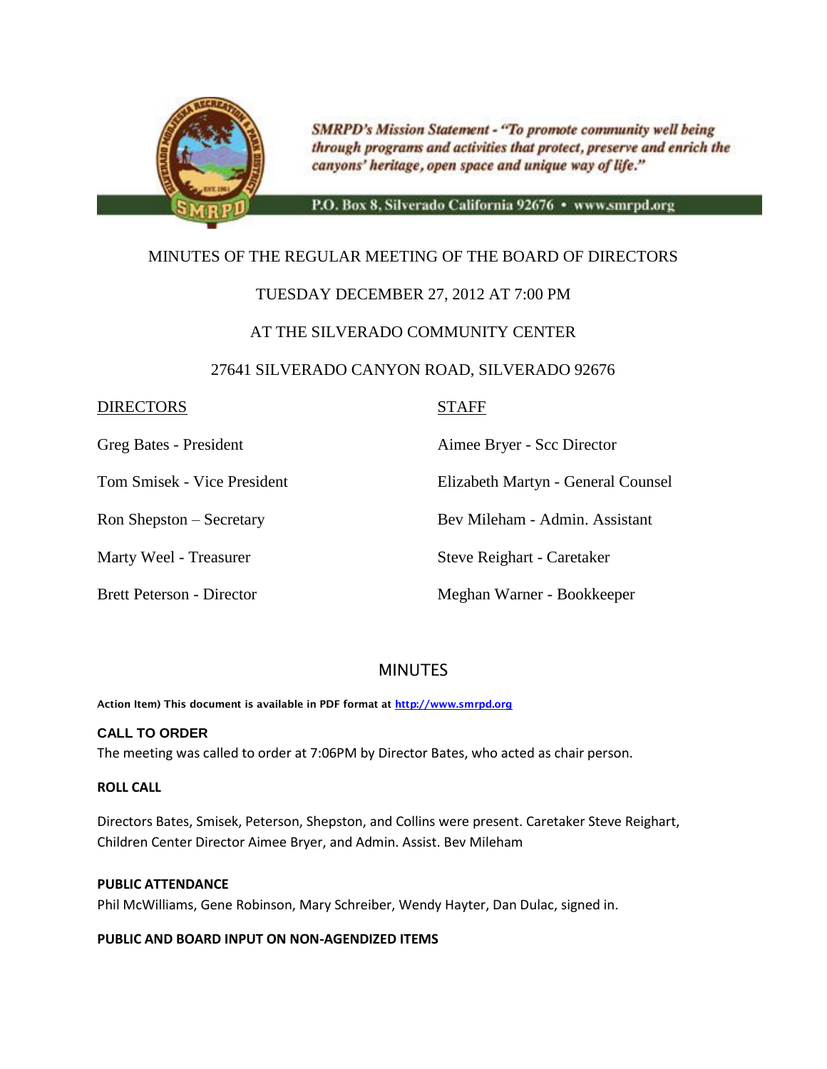

**SMRPD's Mission Statement - "To promote community well being** through programs and activities that protect, preserve and enrich the canyons' heritage, open space and unique way of life."

P.O. Box 8, Silverado California 92676 · www.smrpd.org

## MINUTES OF THE REGULAR MEETING OF THE BOARD OF DIRECTORS

## TUESDAY DECEMBER 27, 2012 AT 7:00 PM

## AT THE SILVERADO COMMUNITY CENTER

## 27641 SILVERADO CANYON ROAD, SILVERADO 92676

## DIRECTORS STAFF

Greg Bates - President Aimee Bryer - Scc Director

Tom Smisek - Vice President Elizabeth Martyn - General Counsel

Ron Shepston – Secretary Bev Mileham - Admin. Assistant

Marty Weel - Treasurer Steve Reighart - Caretaker

Brett Peterson - Director Meghan Warner - Bookkeeper

## MINUTES

**Action Item) This document is available in PDF format at [http://www.smrpd.org](http://www.smrpd.org/)**

## **CALL TO ORDER**

The meeting was called to order at 7:06PM by Director Bates, who acted as chair person.

## **ROLL CALL**

Directors Bates, Smisek, Peterson, Shepston, and Collins were present. Caretaker Steve Reighart, Children Center Director Aimee Bryer, and Admin. Assist. Bev Mileham

## **PUBLIC ATTENDANCE**

Phil McWilliams, Gene Robinson, Mary Schreiber, Wendy Hayter, Dan Dulac, signed in.

## **PUBLIC AND BOARD INPUT ON NON-AGENDIZED ITEMS**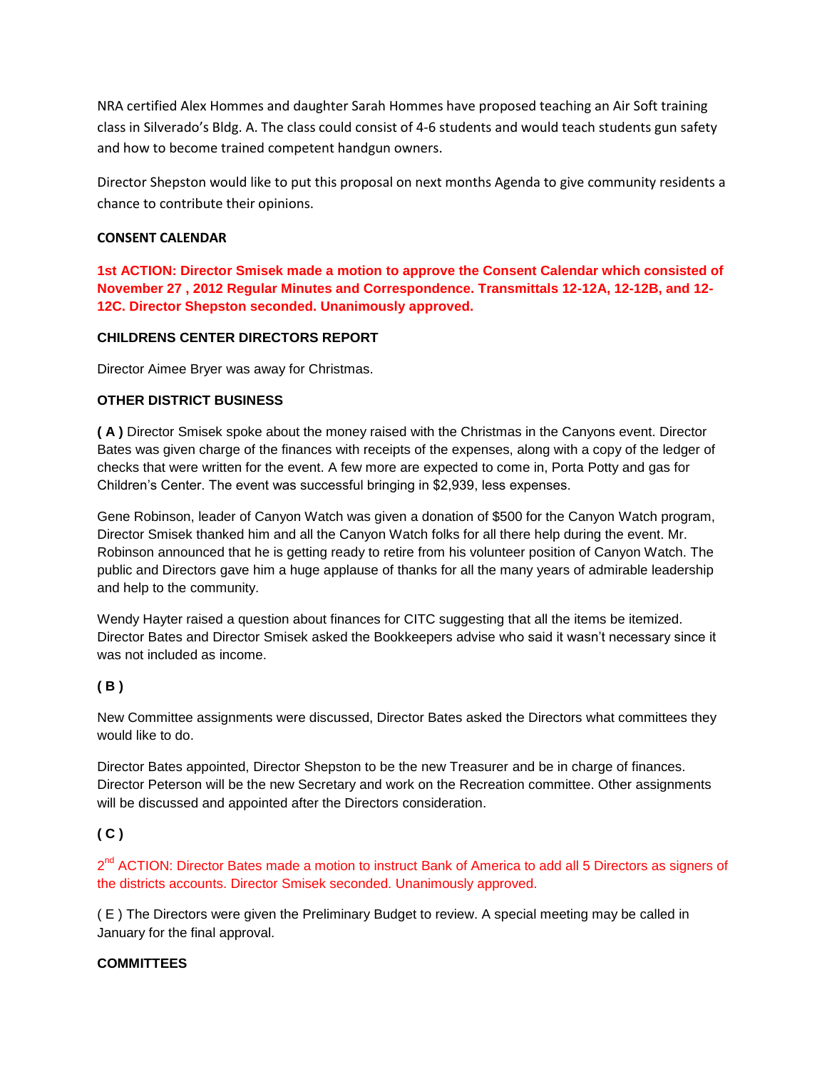NRA certified Alex Hommes and daughter Sarah Hommes have proposed teaching an Air Soft training class in Silverado's Bldg. A. The class could consist of 4-6 students and would teach students gun safety and how to become trained competent handgun owners.

Director Shepston would like to put this proposal on next months Agenda to give community residents a chance to contribute their opinions.

## **CONSENT CALENDAR**

**1st ACTION: Director Smisek made a motion to approve the Consent Calendar which consisted of November 27 , 2012 Regular Minutes and Correspondence. Transmittals 12-12A, 12-12B, and 12- 12C. Director Shepston seconded. Unanimously approved.**

## **CHILDRENS CENTER DIRECTORS REPORT**

Director Aimee Bryer was away for Christmas.

## **OTHER DISTRICT BUSINESS**

**( A )** Director Smisek spoke about the money raised with the Christmas in the Canyons event. Director Bates was given charge of the finances with receipts of the expenses, along with a copy of the ledger of checks that were written for the event. A few more are expected to come in, Porta Potty and gas for Children's Center. The event was successful bringing in \$2,939, less expenses.

Gene Robinson, leader of Canyon Watch was given a donation of \$500 for the Canyon Watch program, Director Smisek thanked him and all the Canyon Watch folks for all there help during the event. Mr. Robinson announced that he is getting ready to retire from his volunteer position of Canyon Watch. The public and Directors gave him a huge applause of thanks for all the many years of admirable leadership and help to the community.

Wendy Hayter raised a question about finances for CITC suggesting that all the items be itemized. Director Bates and Director Smisek asked the Bookkeepers advise who said it wasn't necessary since it was not included as income.

## **( B )**

New Committee assignments were discussed, Director Bates asked the Directors what committees they would like to do.

Director Bates appointed, Director Shepston to be the new Treasurer and be in charge of finances. Director Peterson will be the new Secretary and work on the Recreation committee. Other assignments will be discussed and appointed after the Directors consideration.

## **( C )**

2<sup>nd</sup> ACTION: Director Bates made a motion to instruct Bank of America to add all 5 Directors as signers of the districts accounts. Director Smisek seconded. Unanimously approved.

( E ) The Directors were given the Preliminary Budget to review. A special meeting may be called in January for the final approval.

#### **COMMITTEES**